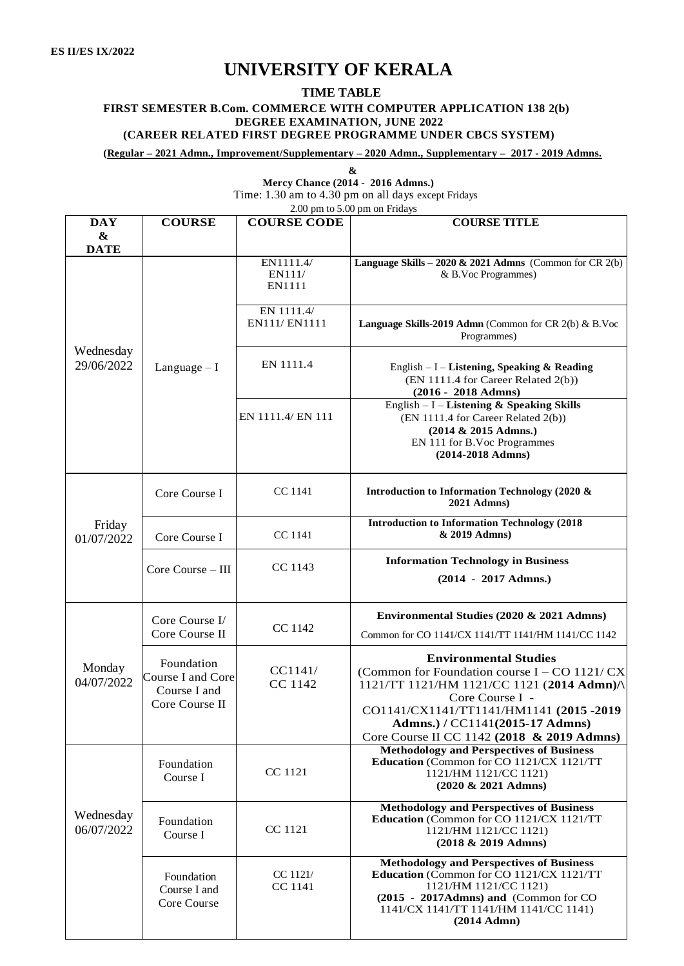## **UNIVERSITY OF KERALA**

## **TIME TABLE**

## **FIRST SEMESTER B.Com. COMMERCE WITH COMPUTER APPLICATION 138 2(b) DEGREE EXAMINATION, JUNE 2022**

## **(CAREER RELATED FIRST DEGREE PROGRAMME UNDER CBCS SYSTEM)**

**(Regular – 2021 Admn., Improvement/Supplementary – 2020 Admn., Supplementary – 2017 - 2019 Admns.**

|                                                |                                                                   |                               | Time: 1.30 am to 4.30 pm on all days except Fridays<br>2.00 pm to 5.00 pm on Fridays                                                                                                                                                                                          |
|------------------------------------------------|-------------------------------------------------------------------|-------------------------------|-------------------------------------------------------------------------------------------------------------------------------------------------------------------------------------------------------------------------------------------------------------------------------|
| <b>DAY</b><br>$\boldsymbol{\&}$<br><b>DATE</b> | <b>COURSE</b>                                                     | <b>COURSE CODE</b>            | <b>COURSE TITLE</b>                                                                                                                                                                                                                                                           |
| Wednesday<br>29/06/2022                        |                                                                   | EN1111.4/<br>EN111/<br>EN1111 | Language Skills – $2020 \& 2021$ Admns (Common for CR 2(b)<br>& B.Voc Programmes)                                                                                                                                                                                             |
|                                                | Language $-I$                                                     | EN 1111.4/<br>EN111/ EN1111   | Language Skills-2019 Admn (Common for CR 2(b) & B.Voc<br>Programmes)                                                                                                                                                                                                          |
|                                                |                                                                   | EN 1111.4                     | English - I - Listening, Speaking & Reading<br>(EN 1111.4 for Career Related 2(b))<br>(2016 - 2018 Admns)                                                                                                                                                                     |
|                                                |                                                                   | EN 1111.4/ EN 111             | English $- I -$ Listening & Speaking Skills<br>(EN 1111.4 for Career Related 2(b))<br>(2014 & 2015 Admns.)<br>EN 111 for B.Voc Programmes<br>$(2014 - 2018$ Admns)                                                                                                            |
| Friday<br>01/07/2022                           | Core Course I                                                     | CC 1141                       | Introduction to Information Technology (2020 &<br>2021 Admns)                                                                                                                                                                                                                 |
|                                                | Core Course I                                                     | CC 1141                       | <b>Introduction to Information Technology (2018)</b><br>& 2019 Admns)                                                                                                                                                                                                         |
|                                                | Core Course - III                                                 | CC 1143                       | <b>Information Technology in Business</b><br>$(2014 - 2017$ Admns.)                                                                                                                                                                                                           |
| Monday<br>04/07/2022                           | Core Course I/<br>Core Course II                                  | CC 1142                       | Environmental Studies (2020 & 2021 Admns)<br>Common for CO 1141/CX 1141/TT 1141/HM 1141/CC 1142                                                                                                                                                                               |
|                                                | Foundation<br>Course I and Core<br>Course I and<br>Core Course II | CC1141/<br>CC 1142            | <b>Environmental Studies</b><br>(Common for Foundation course I – CO 1121/ $CX$ )<br>1121/TT 1121/HM 1121/CC 1121 (2014 Admn)/<br>Core Course I -<br>CO1141/CX1141/TT1141/HM1141 (2015 -2019<br>Admns.) / CC1141(2015-17 Admns)<br>Core Course II CC 1142 (2018 & 2019 Admns) |
| Wednesday<br>06/07/2022                        | Foundation<br>Course I                                            | CC 1121                       | <b>Methodology and Perspectives of Business</b><br>Education (Common for CO 1121/CX 1121/TT<br>1121/HM 1121/CC 1121)<br>(2020 & 2021 Admns)                                                                                                                                   |
|                                                | Foundation<br>Course I                                            | CC 1121                       | <b>Methodology and Perspectives of Business</b><br>Education (Common for CO 1121/CX 1121/TT<br>1121/HM 1121/CC 1121)<br>$(2018 \& 2019$ Admns)                                                                                                                                |
|                                                | Foundation<br>Course I and<br>Core Course                         | CC 1121/<br><b>CC</b> 1141    | <b>Methodology and Perspectives of Business</b><br>Education (Common for CO 1121/CX 1121/TT<br>1121/HM 1121/CC 1121)<br>(2015 - 2017Admns) and (Common for CO<br>1141/CX 1141/TT 1141/HM 1141/CC 1141)<br>$(2014$ Admn $)$                                                    |

**&**